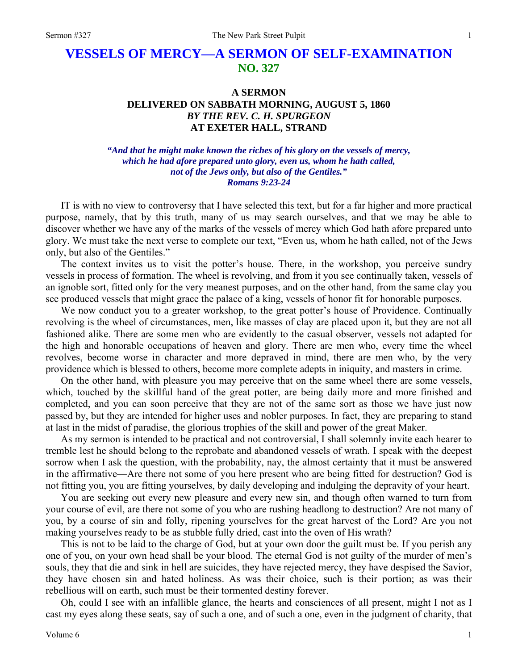# **VESSELS OF MERCY—A SERMON OF SELF-EXAMINATION NO. 327**

## **A SERMON DELIVERED ON SABBATH MORNING, AUGUST 5, 1860**  *BY THE REV. C. H. SPURGEON*  **AT EXETER HALL, STRAND**

*"And that he might make known the riches of his glory on the vessels of mercy, which he had afore prepared unto glory, even us, whom he hath called, not of the Jews only, but also of the Gentiles." Romans 9:23-24* 

IT is with no view to controversy that I have selected this text, but for a far higher and more practical purpose, namely, that by this truth, many of us may search ourselves, and that we may be able to discover whether we have any of the marks of the vessels of mercy which God hath afore prepared unto glory. We must take the next verse to complete our text, "Even us, whom he hath called, not of the Jews only, but also of the Gentiles."

The context invites us to visit the potter's house. There, in the workshop, you perceive sundry vessels in process of formation. The wheel is revolving, and from it you see continually taken, vessels of an ignoble sort, fitted only for the very meanest purposes, and on the other hand, from the same clay you see produced vessels that might grace the palace of a king, vessels of honor fit for honorable purposes.

We now conduct you to a greater workshop, to the great potter's house of Providence. Continually revolving is the wheel of circumstances, men, like masses of clay are placed upon it, but they are not all fashioned alike. There are some men who are evidently to the casual observer, vessels not adapted for the high and honorable occupations of heaven and glory. There are men who, every time the wheel revolves, become worse in character and more depraved in mind, there are men who, by the very providence which is blessed to others, become more complete adepts in iniquity, and masters in crime.

On the other hand, with pleasure you may perceive that on the same wheel there are some vessels, which, touched by the skillful hand of the great potter, are being daily more and more finished and completed, and you can soon perceive that they are not of the same sort as those we have just now passed by, but they are intended for higher uses and nobler purposes. In fact, they are preparing to stand at last in the midst of paradise, the glorious trophies of the skill and power of the great Maker.

As my sermon is intended to be practical and not controversial, I shall solemnly invite each hearer to tremble lest he should belong to the reprobate and abandoned vessels of wrath. I speak with the deepest sorrow when I ask the question, with the probability, nay, the almost certainty that it must be answered in the affirmative—Are there not some of you here present who are being fitted for destruction? God is not fitting you, you are fitting yourselves, by daily developing and indulging the depravity of your heart.

You are seeking out every new pleasure and every new sin, and though often warned to turn from your course of evil, are there not some of you who are rushing headlong to destruction? Are not many of you, by a course of sin and folly, ripening yourselves for the great harvest of the Lord? Are you not making yourselves ready to be as stubble fully dried, cast into the oven of His wrath?

This is not to be laid to the charge of God, but at your own door the guilt must be. If you perish any one of you, on your own head shall be your blood. The eternal God is not guilty of the murder of men's souls, they that die and sink in hell are suicides, they have rejected mercy, they have despised the Savior, they have chosen sin and hated holiness. As was their choice, such is their portion; as was their rebellious will on earth, such must be their tormented destiny forever.

Oh, could I see with an infallible glance, the hearts and consciences of all present, might I not as I cast my eyes along these seats, say of such a one, and of such a one, even in the judgment of charity, that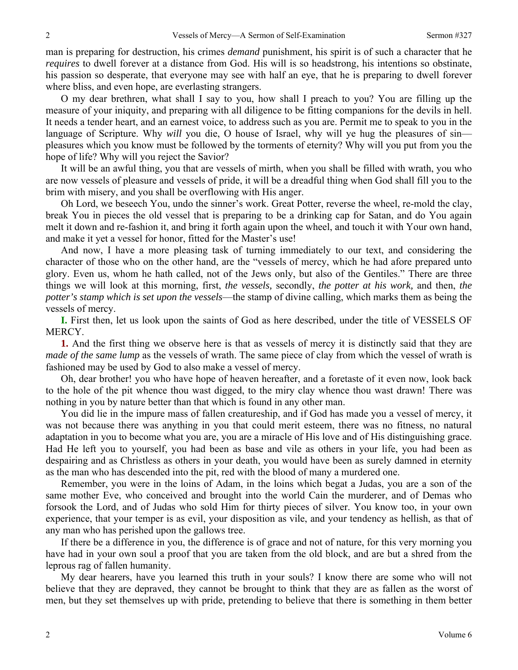man is preparing for destruction, his crimes *demand* punishment, his spirit is of such a character that he *requires* to dwell forever at a distance from God. His will is so headstrong, his intentions so obstinate, his passion so desperate, that everyone may see with half an eye, that he is preparing to dwell forever where bliss, and even hope, are everlasting strangers.

O my dear brethren, what shall I say to you, how shall I preach to you? You are filling up the measure of your iniquity, and preparing with all diligence to be fitting companions for the devils in hell. It needs a tender heart, and an earnest voice, to address such as you are. Permit me to speak to you in the language of Scripture. Why *will* you die, O house of Israel, why will ye hug the pleasures of sin pleasures which you know must be followed by the torments of eternity? Why will you put from you the hope of life? Why will you reject the Savior?

It will be an awful thing, you that are vessels of mirth, when you shall be filled with wrath, you who are now vessels of pleasure and vessels of pride, it will be a dreadful thing when God shall fill you to the brim with misery, and you shall be overflowing with His anger.

Oh Lord, we beseech You, undo the sinner's work. Great Potter, reverse the wheel, re-mold the clay, break You in pieces the old vessel that is preparing to be a drinking cap for Satan, and do You again melt it down and re-fashion it, and bring it forth again upon the wheel, and touch it with Your own hand, and make it yet a vessel for honor, fitted for the Master's use!

And now, I have a more pleasing task of turning immediately to our text, and considering the character of those who on the other hand, are the "vessels of mercy, which he had afore prepared unto glory. Even us, whom he hath called, not of the Jews only, but also of the Gentiles." There are three things we will look at this morning, first, *the vessels,* secondly, *the potter at his work,* and then, *the potter's stamp which is set upon the vessels*—the stamp of divine calling, which marks them as being the vessels of mercy.

**I.** First then, let us look upon the saints of God as here described, under the title of VESSELS OF MERCY.

**1.** And the first thing we observe here is that as vessels of mercy it is distinctly said that they are *made of the same lump* as the vessels of wrath. The same piece of clay from which the vessel of wrath is fashioned may be used by God to also make a vessel of mercy.

Oh, dear brother! you who have hope of heaven hereafter, and a foretaste of it even now, look back to the hole of the pit whence thou wast digged, to the miry clay whence thou wast drawn! There was nothing in you by nature better than that which is found in any other man.

You did lie in the impure mass of fallen creatureship, and if God has made you a vessel of mercy, it was not because there was anything in you that could merit esteem, there was no fitness, no natural adaptation in you to become what you are, you are a miracle of His love and of His distinguishing grace. Had He left you to yourself, you had been as base and vile as others in your life, you had been as despairing and as Christless as others in your death, you would have been as surely damned in eternity as the man who has descended into the pit, red with the blood of many a murdered one.

Remember, you were in the loins of Adam, in the loins which begat a Judas, you are a son of the same mother Eve, who conceived and brought into the world Cain the murderer, and of Demas who forsook the Lord, and of Judas who sold Him for thirty pieces of silver. You know too, in your own experience, that your temper is as evil, your disposition as vile, and your tendency as hellish, as that of any man who has perished upon the gallows tree.

If there be a difference in you, the difference is of grace and not of nature, for this very morning you have had in your own soul a proof that you are taken from the old block, and are but a shred from the leprous rag of fallen humanity.

My dear hearers, have you learned this truth in your souls? I know there are some who will not believe that they are depraved, they cannot be brought to think that they are as fallen as the worst of men, but they set themselves up with pride, pretending to believe that there is something in them better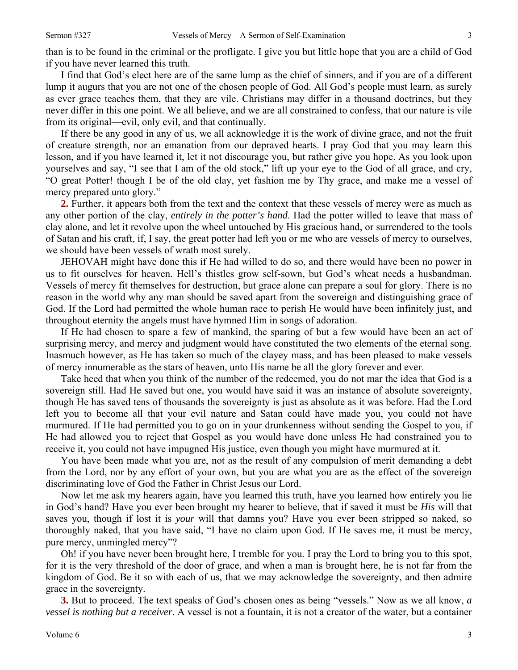than is to be found in the criminal or the profligate. I give you but little hope that you are a child of God if you have never learned this truth.

I find that God's elect here are of the same lump as the chief of sinners, and if you are of a different lump it augurs that you are not one of the chosen people of God. All God's people must learn, as surely as ever grace teaches them, that they are vile. Christians may differ in a thousand doctrines, but they never differ in this one point. We all believe, and we are all constrained to confess, that our nature is vile from its original—evil, only evil, and that continually.

If there be any good in any of us, we all acknowledge it is the work of divine grace, and not the fruit of creature strength, nor an emanation from our depraved hearts. I pray God that you may learn this lesson, and if you have learned it, let it not discourage you, but rather give you hope. As you look upon yourselves and say, "I see that I am of the old stock," lift up your eye to the God of all grace, and cry, "O great Potter! though I be of the old clay, yet fashion me by Thy grace, and make me a vessel of mercy prepared unto glory."

**2.** Further, it appears both from the text and the context that these vessels of mercy were as much as any other portion of the clay, *entirely in the potter's hand*. Had the potter willed to leave that mass of clay alone, and let it revolve upon the wheel untouched by His gracious hand, or surrendered to the tools of Satan and his craft, if, I say, the great potter had left you or me who are vessels of mercy to ourselves, we should have been vessels of wrath most surely.

JEHOVAH might have done this if He had willed to do so, and there would have been no power in us to fit ourselves for heaven. Hell's thistles grow self-sown, but God's wheat needs a husbandman. Vessels of mercy fit themselves for destruction, but grace alone can prepare a soul for glory. There is no reason in the world why any man should be saved apart from the sovereign and distinguishing grace of God. If the Lord had permitted the whole human race to perish He would have been infinitely just, and throughout eternity the angels must have hymned Him in songs of adoration.

If He had chosen to spare a few of mankind, the sparing of but a few would have been an act of surprising mercy, and mercy and judgment would have constituted the two elements of the eternal song. Inasmuch however, as He has taken so much of the clayey mass, and has been pleased to make vessels of mercy innumerable as the stars of heaven, unto His name be all the glory forever and ever.

Take heed that when you think of the number of the redeemed, you do not mar the idea that God is a sovereign still. Had He saved but one, you would have said it was an instance of absolute sovereignty, though He has saved tens of thousands the sovereignty is just as absolute as it was before. Had the Lord left you to become all that your evil nature and Satan could have made you, you could not have murmured. If He had permitted you to go on in your drunkenness without sending the Gospel to you, if He had allowed you to reject that Gospel as you would have done unless He had constrained you to receive it, you could not have impugned His justice, even though you might have murmured at it.

You have been made what you are, not as the result of any compulsion of merit demanding a debt from the Lord, nor by any effort of your own, but you are what you are as the effect of the sovereign discriminating love of God the Father in Christ Jesus our Lord.

Now let me ask my hearers again, have you learned this truth, have you learned how entirely you lie in God's hand? Have you ever been brought my hearer to believe, that if saved it must be *His* will that saves you, though if lost it is *your* will that damns you? Have you ever been stripped so naked, so thoroughly naked, that you have said, "I have no claim upon God. If He saves me, it must be mercy, pure mercy, unmingled mercy"?

Oh! if you have never been brought here, I tremble for you. I pray the Lord to bring you to this spot, for it is the very threshold of the door of grace, and when a man is brought here, he is not far from the kingdom of God. Be it so with each of us, that we may acknowledge the sovereignty, and then admire grace in the sovereignty.

**3.** But to proceed. The text speaks of God's chosen ones as being "vessels." Now as we all know, *a vessel is nothing but a receiver*. A vessel is not a fountain, it is not a creator of the water, but a container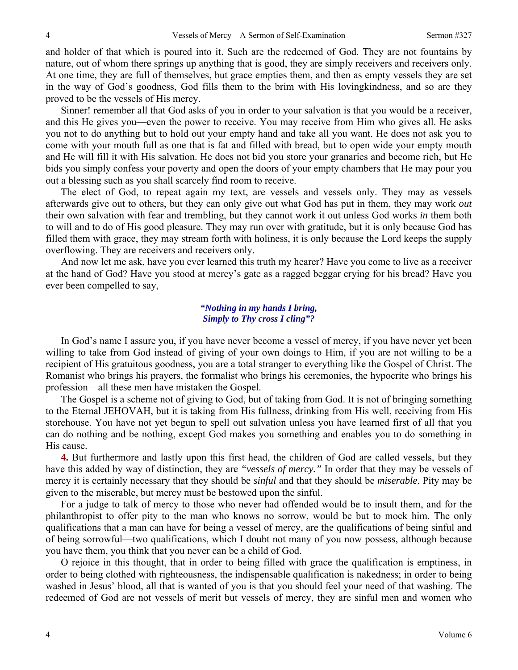and holder of that which is poured into it. Such are the redeemed of God. They are not fountains by nature, out of whom there springs up anything that is good, they are simply receivers and receivers only. At one time, they are full of themselves, but grace empties them, and then as empty vessels they are set in the way of God's goodness, God fills them to the brim with His lovingkindness, and so are they proved to be the vessels of His mercy.

Sinner! remember all that God asks of you in order to your salvation is that you would be a receiver, and this He gives you—even the power to receive. You may receive from Him who gives all. He asks you not to do anything but to hold out your empty hand and take all you want. He does not ask you to come with your mouth full as one that is fat and filled with bread, but to open wide your empty mouth and He will fill it with His salvation. He does not bid you store your granaries and become rich, but He bids you simply confess your poverty and open the doors of your empty chambers that He may pour you out a blessing such as you shall scarcely find room to receive.

The elect of God, to repeat again my text, are vessels and vessels only. They may as vessels afterwards give out to others, but they can only give out what God has put in them, they may work *out* their own salvation with fear and trembling, but they cannot work it out unless God works *in* them both to will and to do of His good pleasure. They may run over with gratitude, but it is only because God has filled them with grace, they may stream forth with holiness, it is only because the Lord keeps the supply overflowing. They are receivers and receivers only.

And now let me ask, have you ever learned this truth my hearer? Have you come to live as a receiver at the hand of God? Have you stood at mercy's gate as a ragged beggar crying for his bread? Have you ever been compelled to say,

### *"Nothing in my hands I bring, Simply to Thy cross I cling"?*

In God's name I assure you, if you have never become a vessel of mercy, if you have never yet been willing to take from God instead of giving of your own doings to Him, if you are not willing to be a recipient of His gratuitous goodness, you are a total stranger to everything like the Gospel of Christ. The Romanist who brings his prayers, the formalist who brings his ceremonies, the hypocrite who brings his profession—all these men have mistaken the Gospel.

The Gospel is a scheme not of giving to God, but of taking from God. It is not of bringing something to the Eternal JEHOVAH, but it is taking from His fullness, drinking from His well, receiving from His storehouse. You have not yet begun to spell out salvation unless you have learned first of all that you can do nothing and be nothing, except God makes you something and enables you to do something in His cause.

**4.** But furthermore and lastly upon this first head, the children of God are called vessels, but they have this added by way of distinction, they are *"vessels of mercy."* In order that they may be vessels of mercy it is certainly necessary that they should be *sinful* and that they should be *miserable*. Pity may be given to the miserable, but mercy must be bestowed upon the sinful.

For a judge to talk of mercy to those who never had offended would be to insult them, and for the philanthropist to offer pity to the man who knows no sorrow, would be but to mock him. The only qualifications that a man can have for being a vessel of mercy, are the qualifications of being sinful and of being sorrowful—two qualifications, which I doubt not many of you now possess, although because you have them, you think that you never can be a child of God.

O rejoice in this thought, that in order to being filled with grace the qualification is emptiness, in order to being clothed with righteousness, the indispensable qualification is nakedness; in order to being washed in Jesus' blood, all that is wanted of you is that you should feel your need of that washing. The redeemed of God are not vessels of merit but vessels of mercy, they are sinful men and women who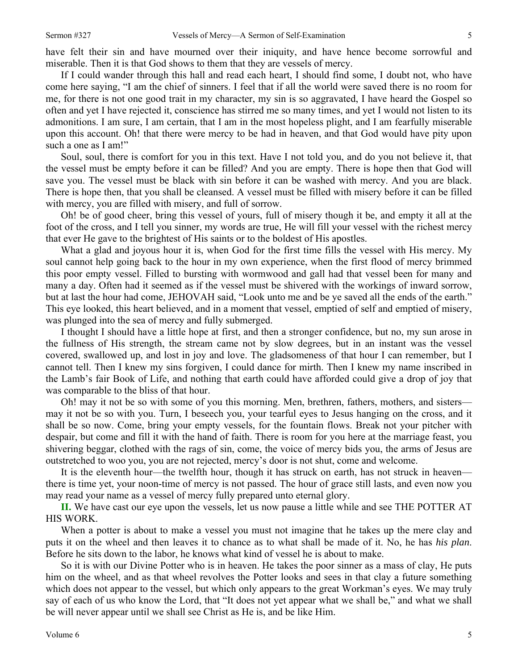have felt their sin and have mourned over their iniquity, and have hence become sorrowful and miserable. Then it is that God shows to them that they are vessels of mercy.

If I could wander through this hall and read each heart, I should find some, I doubt not, who have come here saying, "I am the chief of sinners. I feel that if all the world were saved there is no room for me, for there is not one good trait in my character, my sin is so aggravated, I have heard the Gospel so often and yet I have rejected it, conscience has stirred me so many times, and yet I would not listen to its admonitions. I am sure, I am certain, that I am in the most hopeless plight, and I am fearfully miserable upon this account. Oh! that there were mercy to be had in heaven, and that God would have pity upon such a one as I am!"

Soul, soul, there is comfort for you in this text. Have I not told you, and do you not believe it, that the vessel must be empty before it can be filled? And you are empty. There is hope then that God will save you. The vessel must be black with sin before it can be washed with mercy. And you are black. There is hope then, that you shall be cleansed. A vessel must be filled with misery before it can be filled with mercy, you are filled with misery, and full of sorrow.

Oh! be of good cheer, bring this vessel of yours, full of misery though it be, and empty it all at the foot of the cross, and I tell you sinner, my words are true, He will fill your vessel with the richest mercy that ever He gave to the brightest of His saints or to the boldest of His apostles.

What a glad and joyous hour it is, when God for the first time fills the vessel with His mercy. My soul cannot help going back to the hour in my own experience, when the first flood of mercy brimmed this poor empty vessel. Filled to bursting with wormwood and gall had that vessel been for many and many a day. Often had it seemed as if the vessel must be shivered with the workings of inward sorrow, but at last the hour had come, JEHOVAH said, "Look unto me and be ye saved all the ends of the earth." This eye looked, this heart believed, and in a moment that vessel, emptied of self and emptied of misery, was plunged into the sea of mercy and fully submerged.

I thought I should have a little hope at first, and then a stronger confidence, but no, my sun arose in the fullness of His strength, the stream came not by slow degrees, but in an instant was the vessel covered, swallowed up, and lost in joy and love. The gladsomeness of that hour I can remember, but I cannot tell. Then I knew my sins forgiven, I could dance for mirth. Then I knew my name inscribed in the Lamb's fair Book of Life, and nothing that earth could have afforded could give a drop of joy that was comparable to the bliss of that hour.

Oh! may it not be so with some of you this morning. Men, brethren, fathers, mothers, and sisters may it not be so with you. Turn, I beseech you, your tearful eyes to Jesus hanging on the cross, and it shall be so now. Come, bring your empty vessels, for the fountain flows. Break not your pitcher with despair, but come and fill it with the hand of faith. There is room for you here at the marriage feast, you shivering beggar, clothed with the rags of sin, come, the voice of mercy bids you, the arms of Jesus are outstretched to woo you, you are not rejected, mercy's door is not shut, come and welcome.

It is the eleventh hour—the twelfth hour, though it has struck on earth, has not struck in heaven there is time yet, your noon-time of mercy is not passed. The hour of grace still lasts, and even now you may read your name as a vessel of mercy fully prepared unto eternal glory.

**II.** We have cast our eye upon the vessels, let us now pause a little while and see THE POTTER AT HIS WORK.

When a potter is about to make a vessel you must not imagine that he takes up the mere clay and puts it on the wheel and then leaves it to chance as to what shall be made of it. No, he has *his plan*. Before he sits down to the labor, he knows what kind of vessel he is about to make.

So it is with our Divine Potter who is in heaven. He takes the poor sinner as a mass of clay, He puts him on the wheel, and as that wheel revolves the Potter looks and sees in that clay a future something which does not appear to the vessel, but which only appears to the great Workman's eyes. We may truly say of each of us who know the Lord, that "It does not yet appear what we shall be," and what we shall be will never appear until we shall see Christ as He is, and be like Him.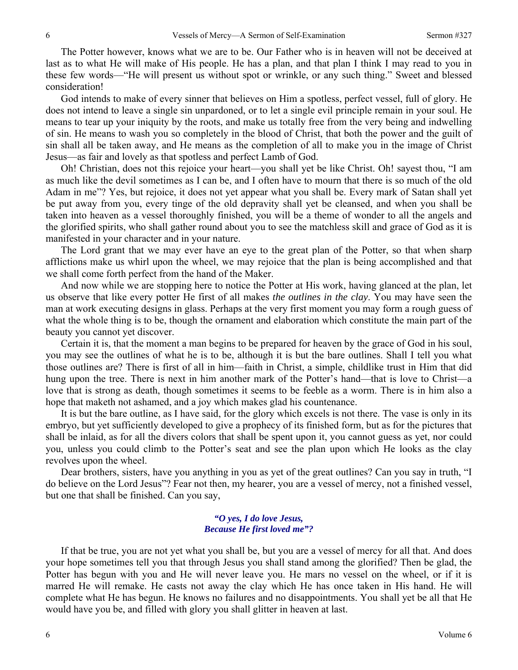The Potter however, knows what we are to be. Our Father who is in heaven will not be deceived at last as to what He will make of His people. He has a plan, and that plan I think I may read to you in these few words—"He will present us without spot or wrinkle, or any such thing." Sweet and blessed consideration!

God intends to make of every sinner that believes on Him a spotless, perfect vessel, full of glory. He does not intend to leave a single sin unpardoned, or to let a single evil principle remain in your soul. He means to tear up your iniquity by the roots, and make us totally free from the very being and indwelling of sin. He means to wash you so completely in the blood of Christ, that both the power and the guilt of sin shall all be taken away, and He means as the completion of all to make you in the image of Christ Jesus—as fair and lovely as that spotless and perfect Lamb of God.

Oh! Christian, does not this rejoice your heart—you shall yet be like Christ. Oh! sayest thou, "I am as much like the devil sometimes as I can be, and I often have to mourn that there is so much of the old Adam in me"? Yes, but rejoice, it does not yet appear what you shall be. Every mark of Satan shall yet be put away from you, every tinge of the old depravity shall yet be cleansed, and when you shall be taken into heaven as a vessel thoroughly finished, you will be a theme of wonder to all the angels and the glorified spirits, who shall gather round about you to see the matchless skill and grace of God as it is manifested in your character and in your nature.

The Lord grant that we may ever have an eye to the great plan of the Potter, so that when sharp afflictions make us whirl upon the wheel, we may rejoice that the plan is being accomplished and that we shall come forth perfect from the hand of the Maker.

And now while we are stopping here to notice the Potter at His work, having glanced at the plan, let us observe that like every potter He first of all makes *the outlines in the clay*. You may have seen the man at work executing designs in glass. Perhaps at the very first moment you may form a rough guess of what the whole thing is to be, though the ornament and elaboration which constitute the main part of the beauty you cannot yet discover.

Certain it is, that the moment a man begins to be prepared for heaven by the grace of God in his soul, you may see the outlines of what he is to be, although it is but the bare outlines. Shall I tell you what those outlines are? There is first of all in him—faith in Christ, a simple, childlike trust in Him that did hung upon the tree. There is next in him another mark of the Potter's hand—that is love to Christ—a love that is strong as death, though sometimes it seems to be feeble as a worm. There is in him also a hope that maketh not ashamed, and a joy which makes glad his countenance.

It is but the bare outline, as I have said, for the glory which excels is not there. The vase is only in its embryo, but yet sufficiently developed to give a prophecy of its finished form, but as for the pictures that shall be inlaid, as for all the divers colors that shall be spent upon it, you cannot guess as yet, nor could you, unless you could climb to the Potter's seat and see the plan upon which He looks as the clay revolves upon the wheel.

Dear brothers, sisters, have you anything in you as yet of the great outlines? Can you say in truth, "I do believe on the Lord Jesus"? Fear not then, my hearer, you are a vessel of mercy, not a finished vessel, but one that shall be finished. Can you say,

### *"O yes, I do love Jesus, Because He first loved me"?*

If that be true, you are not yet what you shall be, but you are a vessel of mercy for all that. And does your hope sometimes tell you that through Jesus you shall stand among the glorified? Then be glad, the Potter has begun with you and He will never leave you. He mars no vessel on the wheel, or if it is marred He will remake. He casts not away the clay which He has once taken in His hand. He will complete what He has begun. He knows no failures and no disappointments. You shall yet be all that He would have you be, and filled with glory you shall glitter in heaven at last.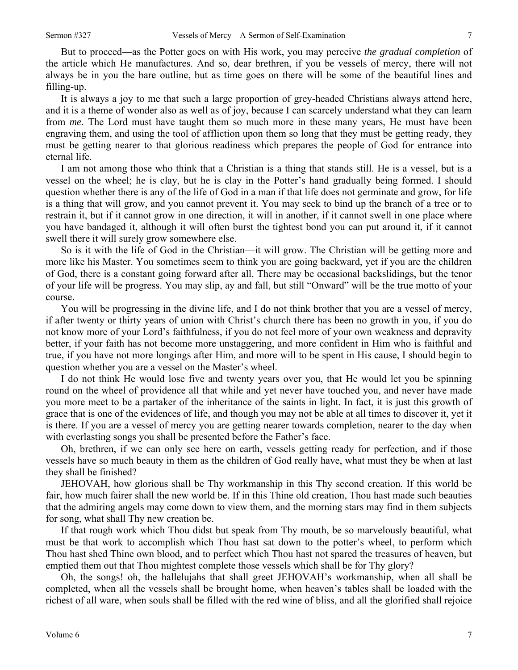But to proceed—as the Potter goes on with His work, you may perceive *the gradual completion* of the article which He manufactures. And so, dear brethren, if you be vessels of mercy, there will not always be in you the bare outline, but as time goes on there will be some of the beautiful lines and filling-up.

It is always a joy to me that such a large proportion of grey-headed Christians always attend here, and it is a theme of wonder also as well as of joy, because I can scarcely understand what they can learn from *me*. The Lord must have taught them so much more in these many years, He must have been engraving them, and using the tool of affliction upon them so long that they must be getting ready, they must be getting nearer to that glorious readiness which prepares the people of God for entrance into eternal life.

I am not among those who think that a Christian is a thing that stands still. He is a vessel, but is a vessel on the wheel; he is clay, but he is clay in the Potter's hand gradually being formed. I should question whether there is any of the life of God in a man if that life does not germinate and grow, for life is a thing that will grow, and you cannot prevent it. You may seek to bind up the branch of a tree or to restrain it, but if it cannot grow in one direction, it will in another, if it cannot swell in one place where you have bandaged it, although it will often burst the tightest bond you can put around it, if it cannot swell there it will surely grow somewhere else.

So is it with the life of God in the Christian—it will grow. The Christian will be getting more and more like his Master. You sometimes seem to think you are going backward, yet if you are the children of God, there is a constant going forward after all. There may be occasional backslidings, but the tenor of your life will be progress. You may slip, ay and fall, but still "Onward" will be the true motto of your course.

You will be progressing in the divine life, and I do not think brother that you are a vessel of mercy, if after twenty or thirty years of union with Christ's church there has been no growth in you, if you do not know more of your Lord's faithfulness, if you do not feel more of your own weakness and depravity better, if your faith has not become more unstaggering, and more confident in Him who is faithful and true, if you have not more longings after Him, and more will to be spent in His cause, I should begin to question whether you are a vessel on the Master's wheel.

I do not think He would lose five and twenty years over you, that He would let you be spinning round on the wheel of providence all that while and yet never have touched you, and never have made you more meet to be a partaker of the inheritance of the saints in light. In fact, it is just this growth of grace that is one of the evidences of life, and though you may not be able at all times to discover it, yet it is there. If you are a vessel of mercy you are getting nearer towards completion, nearer to the day when with everlasting songs you shall be presented before the Father's face.

Oh, brethren, if we can only see here on earth, vessels getting ready for perfection, and if those vessels have so much beauty in them as the children of God really have, what must they be when at last they shall be finished?

JEHOVAH, how glorious shall be Thy workmanship in this Thy second creation. If this world be fair, how much fairer shall the new world be. If in this Thine old creation, Thou hast made such beauties that the admiring angels may come down to view them, and the morning stars may find in them subjects for song, what shall Thy new creation be.

If that rough work which Thou didst but speak from Thy mouth, be so marvelously beautiful, what must be that work to accomplish which Thou hast sat down to the potter's wheel, to perform which Thou hast shed Thine own blood, and to perfect which Thou hast not spared the treasures of heaven, but emptied them out that Thou mightest complete those vessels which shall be for Thy glory?

Oh, the songs! oh, the hallelujahs that shall greet JEHOVAH's workmanship, when all shall be completed, when all the vessels shall be brought home, when heaven's tables shall be loaded with the richest of all ware, when souls shall be filled with the red wine of bliss, and all the glorified shall rejoice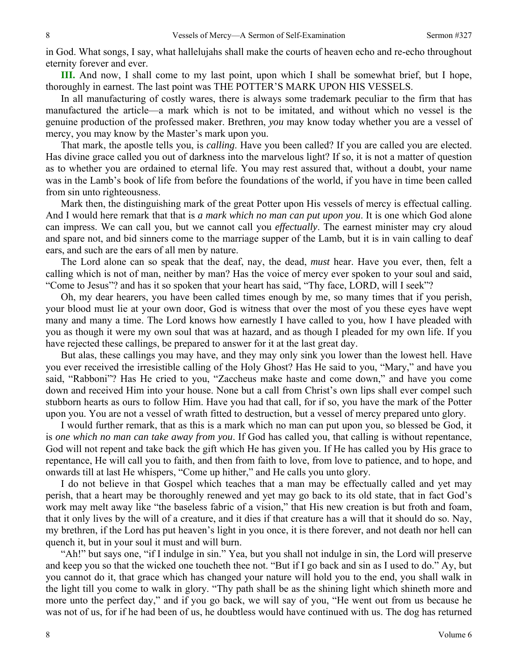in God. What songs, I say, what hallelujahs shall make the courts of heaven echo and re-echo throughout eternity forever and ever.

**III.** And now, I shall come to my last point, upon which I shall be somewhat brief, but I hope, thoroughly in earnest. The last point was THE POTTER'S MARK UPON HIS VESSELS.

In all manufacturing of costly wares, there is always some trademark peculiar to the firm that has manufactured the article—a mark which is not to be imitated, and without which no vessel is the genuine production of the professed maker. Brethren, *you* may know today whether you are a vessel of mercy, you may know by the Master's mark upon you.

That mark, the apostle tells you, is *calling*. Have you been called? If you are called you are elected. Has divine grace called you out of darkness into the marvelous light? If so, it is not a matter of question as to whether you are ordained to eternal life. You may rest assured that, without a doubt, your name was in the Lamb's book of life from before the foundations of the world, if you have in time been called from sin unto righteousness.

Mark then, the distinguishing mark of the great Potter upon His vessels of mercy is effectual calling. And I would here remark that that is *a mark which no man can put upon you*. It is one which God alone can impress. We can call you, but we cannot call you *effectually*. The earnest minister may cry aloud and spare not, and bid sinners come to the marriage supper of the Lamb, but it is in vain calling to deaf ears, and such are the ears of all men by nature.

The Lord alone can so speak that the deaf, nay, the dead, *must* hear. Have you ever, then, felt a calling which is not of man, neither by man? Has the voice of mercy ever spoken to your soul and said, "Come to Jesus"? and has it so spoken that your heart has said, "Thy face, LORD, will I seek"?

Oh, my dear hearers, you have been called times enough by me, so many times that if you perish, your blood must lie at your own door, God is witness that over the most of you these eyes have wept many and many a time. The Lord knows how earnestly I have called to you, how I have pleaded with you as though it were my own soul that was at hazard, and as though I pleaded for my own life. If you have rejected these callings, be prepared to answer for it at the last great day.

But alas, these callings you may have, and they may only sink you lower than the lowest hell. Have you ever received the irresistible calling of the Holy Ghost? Has He said to you, "Mary," and have you said, "Rabboni"? Has He cried to you, "Zaccheus make haste and come down," and have you come down and received Him into your house. None but a call from Christ's own lips shall ever compel such stubborn hearts as ours to follow Him. Have you had that call, for if so, you have the mark of the Potter upon you. You are not a vessel of wrath fitted to destruction, but a vessel of mercy prepared unto glory.

I would further remark, that as this is a mark which no man can put upon you, so blessed be God, it is *one which no man can take away from you*. If God has called you, that calling is without repentance, God will not repent and take back the gift which He has given you. If He has called you by His grace to repentance, He will call you to faith, and then from faith to love, from love to patience, and to hope, and onwards till at last He whispers, "Come up hither," and He calls you unto glory.

I do not believe in that Gospel which teaches that a man may be effectually called and yet may perish, that a heart may be thoroughly renewed and yet may go back to its old state, that in fact God's work may melt away like "the baseless fabric of a vision," that His new creation is but froth and foam, that it only lives by the will of a creature, and it dies if that creature has a will that it should do so. Nay, my brethren, if the Lord has put heaven's light in you once, it is there forever, and not death nor hell can quench it, but in your soul it must and will burn.

"Ah!" but says one, "if I indulge in sin." Yea, but you shall not indulge in sin, the Lord will preserve and keep you so that the wicked one toucheth thee not. "But if I go back and sin as I used to do." Ay, but you cannot do it, that grace which has changed your nature will hold you to the end, you shall walk in the light till you come to walk in glory. "Thy path shall be as the shining light which shineth more and more unto the perfect day," and if you go back, we will say of you, "He went out from us because he was not of us, for if he had been of us, he doubtless would have continued with us. The dog has returned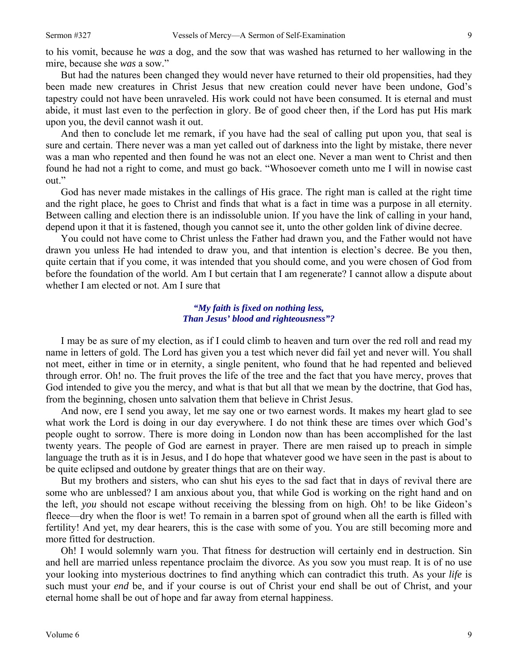to his vomit, because he *was* a dog, and the sow that was washed has returned to her wallowing in the mire, because she *was* a sow."

But had the natures been changed they would never have returned to their old propensities, had they been made new creatures in Christ Jesus that new creation could never have been undone, God's tapestry could not have been unraveled. His work could not have been consumed. It is eternal and must abide, it must last even to the perfection in glory. Be of good cheer then, if the Lord has put His mark upon you, the devil cannot wash it out.

And then to conclude let me remark, if you have had the seal of calling put upon you, that seal is sure and certain. There never was a man yet called out of darkness into the light by mistake, there never was a man who repented and then found he was not an elect one. Never a man went to Christ and then found he had not a right to come, and must go back. "Whosoever cometh unto me I will in nowise cast out."

God has never made mistakes in the callings of His grace. The right man is called at the right time and the right place, he goes to Christ and finds that what is a fact in time was a purpose in all eternity. Between calling and election there is an indissoluble union. If you have the link of calling in your hand, depend upon it that it is fastened, though you cannot see it, unto the other golden link of divine decree.

You could not have come to Christ unless the Father had drawn you, and the Father would not have drawn you unless He had intended to draw you, and that intention is election's decree. Be you then, quite certain that if you come, it was intended that you should come, and you were chosen of God from before the foundation of the world. Am I but certain that I am regenerate? I cannot allow a dispute about whether I am elected or not. Am I sure that

### *"My faith is fixed on nothing less, Than Jesus' blood and righteousness"?*

I may be as sure of my election, as if I could climb to heaven and turn over the red roll and read my name in letters of gold. The Lord has given you a test which never did fail yet and never will. You shall not meet, either in time or in eternity, a single penitent, who found that he had repented and believed through error. Oh! no. The fruit proves the life of the tree and the fact that you have mercy, proves that God intended to give you the mercy, and what is that but all that we mean by the doctrine, that God has, from the beginning, chosen unto salvation them that believe in Christ Jesus.

And now, ere I send you away, let me say one or two earnest words. It makes my heart glad to see what work the Lord is doing in our day everywhere. I do not think these are times over which God's people ought to sorrow. There is more doing in London now than has been accomplished for the last twenty years. The people of God are earnest in prayer. There are men raised up to preach in simple language the truth as it is in Jesus, and I do hope that whatever good we have seen in the past is about to be quite eclipsed and outdone by greater things that are on their way.

But my brothers and sisters, who can shut his eyes to the sad fact that in days of revival there are some who are unblessed? I am anxious about you, that while God is working on the right hand and on the left, *you* should not escape without receiving the blessing from on high. Oh! to be like Gideon's fleece—dry when the floor is wet! To remain in a barren spot of ground when all the earth is filled with fertility! And yet, my dear hearers, this is the case with some of you. You are still becoming more and more fitted for destruction.

Oh! I would solemnly warn you. That fitness for destruction will certainly end in destruction. Sin and hell are married unless repentance proclaim the divorce. As you sow you must reap. It is of no use your looking into mysterious doctrines to find anything which can contradict this truth. As your *life* is such must your *end* be, and if your course is out of Christ your end shall be out of Christ, and your eternal home shall be out of hope and far away from eternal happiness.